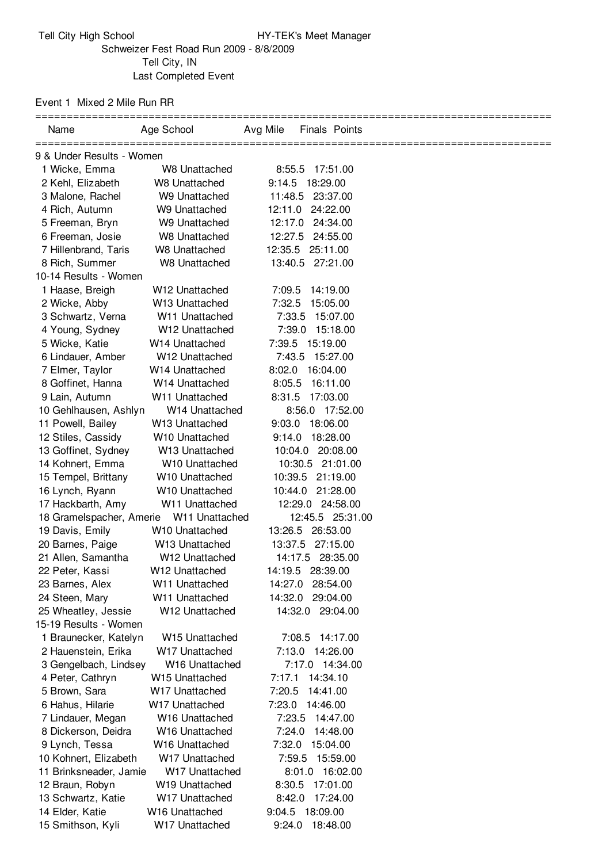## Event 1 Mixed 2 Mile Run RR

| Name                      | Age School                 | Avg Mile<br><b>Finals Points</b> |                                  |
|---------------------------|----------------------------|----------------------------------|----------------------------------|
| 9 & Under Results - Women |                            |                                  | ================================ |
| 1 Wicke, Emma             | W8 Unattached              | 8:55.5<br>17:51.00               |                                  |
| 2 Kehl, Elizabeth         | W8 Unattached              | 9:14.5<br>18:29.00               |                                  |
| 3 Malone, Rachel          | W9 Unattached              | 11:48.5 23:37.00                 |                                  |
| 4 Rich, Autumn            | W9 Unattached              | 12:11.0 24:22.00                 |                                  |
| 5 Freeman, Bryn           | W9 Unattached              | 12:17.0 24:34.00                 |                                  |
| 6 Freeman, Josie          | W8 Unattached              | 12:27.5<br>24:55.00              |                                  |
| 7 Hillenbrand, Taris      | W8 Unattached              | 12:35.5<br>25:11.00              |                                  |
| 8 Rich, Summer            | W8 Unattached              | 13:40.5 27:21.00                 |                                  |
| 10-14 Results - Women     |                            |                                  |                                  |
| 1 Haase, Breigh           | W <sub>12</sub> Unattached | 7:09.5<br>14:19.00               |                                  |
| 2 Wicke, Abby             | W13 Unattached             | 7:32.5<br>15:05.00               |                                  |
| 3 Schwartz, Verna         | W <sub>11</sub> Unattached | 7:33.5<br>15:07.00               |                                  |
| 4 Young, Sydney           | W12 Unattached             | 7:39.0<br>15:18.00               |                                  |
| 5 Wicke, Katie            | W <sub>14</sub> Unattached | 7:39.5 15:19.00                  |                                  |
| 6 Lindauer, Amber         | W <sub>12</sub> Unattached | 7:43.5 15:27.00                  |                                  |
| 7 Elmer, Taylor           | W <sub>14</sub> Unattached | 8:02.0<br>16:04.00               |                                  |
| 8 Goffinet, Hanna         | W <sub>14</sub> Unattached | 8:05.5<br>16:11.00               |                                  |
| 9 Lain, Autumn            | W11 Unattached             | 8:31.5<br>17:03.00               |                                  |
| 10 Gehlhausen, Ashlyn     | W <sub>14</sub> Unattached | 8:56.0 17:52.00                  |                                  |
| 11 Powell, Bailey         | W <sub>13</sub> Unattached | 9:03.0<br>18:06.00               |                                  |
| 12 Stiles, Cassidy        | W <sub>10</sub> Unattached | 9:14.0<br>18:28.00               |                                  |
| 13 Goffinet, Sydney       | W <sub>13</sub> Unattached | 10:04.0 20:08.00                 |                                  |
| 14 Kohnert, Emma          | W10 Unattached             | 10:30.5 21:01.00                 |                                  |
| 15 Tempel, Brittany       | W <sub>10</sub> Unattached | 10:39.5<br>21:19.00              |                                  |
| 16 Lynch, Ryann           | W <sub>10</sub> Unattached | 10:44.0<br>21:28.00              |                                  |
| 17 Hackbarth, Amy         | W11 Unattached             | 12:29.0 24:58.00                 |                                  |
| 18 Gramelspacher, Amerie  | W <sub>11</sub> Unattached | 12:45.5 25:31.00                 |                                  |
| 19 Davis, Emily           | W <sub>10</sub> Unattached | 13:26.5 26:53.00                 |                                  |
| 20 Barnes, Paige          | W <sub>13</sub> Unattached | 13:37.5 27:15.00                 |                                  |
| 21 Allen, Samantha        | W12 Unattached             | 14:17.5 28:35.00                 |                                  |
| 22 Peter, Kassi           | W <sub>12</sub> Unattached | 14:19.5 28:39.00                 |                                  |
| 23 Barnes, Alex           | W11 Unattached             | 14:27.0 28:54.00                 |                                  |
| 24 Steen, Mary            | W11 Unattached             | 14:32.0 29:04.00                 |                                  |
| 25 Wheatley, Jessie       | W12 Unattached             | 14:32.0 29:04.00                 |                                  |
| 15-19 Results - Women     |                            |                                  |                                  |
| 1 Braunecker, Katelyn     | W15 Unattached             | 7:08.5<br>14:17.00               |                                  |
| 2 Hauenstein, Erika       | W17 Unattached             | 7:13.0 14:26.00                  |                                  |
| 3 Gengelbach, Lindsey     | W <sub>16</sub> Unattached | 7:17.0 14:34.00                  |                                  |
| 4 Peter, Cathryn          | W <sub>15</sub> Unattached | 7:17.1<br>14:34.10               |                                  |
| 5 Brown, Sara             | W17 Unattached             | 14:41.00<br>7:20.5               |                                  |
| 6 Hahus, Hilarie          | W17 Unattached             | 7:23.0<br>14:46.00               |                                  |
| 7 Lindauer, Megan         | W <sub>16</sub> Unattached | 7:23.5<br>14:47.00               |                                  |
| 8 Dickerson, Deidra       | W <sub>16</sub> Unattached | 7:24.0<br>14:48.00               |                                  |
| 9 Lynch, Tessa            | W <sub>16</sub> Unattached | 7:32.0<br>15:04.00               |                                  |
| 10 Kohnert, Elizabeth     | W17 Unattached             | 7:59.5<br>15:59.00               |                                  |
| 11 Brinksneader, Jamie    | W17 Unattached             | 8:01.0 16:02.00                  |                                  |
| 12 Braun, Robyn           | W <sub>19</sub> Unattached | 8:30.5<br>17:01.00               |                                  |
| 13 Schwartz, Katie        | W17 Unattached             | 8:42.0<br>17:24.00               |                                  |
| 14 Elder, Katie           | W16 Unattached             | 9:04.5 18:09.00                  |                                  |
| 15 Smithson, Kyli         | W17 Unattached             | 9:24.0 18:48.00                  |                                  |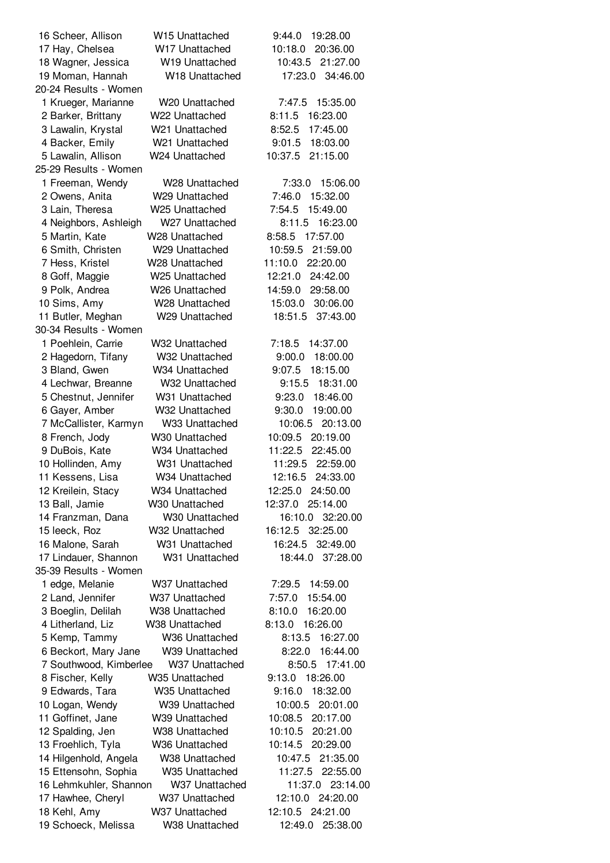| 16 Scheer, Allison     | W <sub>15</sub> Unattached | 19:28.00<br>9:44.0  |
|------------------------|----------------------------|---------------------|
| 17 Hay, Chelsea        | W <sub>17</sub> Unattached | 10:18.0<br>20:36.00 |
| 18 Wagner, Jessica     | W19 Unattached             | 21:27.00<br>10:43.5 |
| 19 Moman, Hannah       | W18 Unattached             | 17:23.0<br>34:46.00 |
| 20-24 Results - Women  |                            |                     |
| 1 Krueger, Marianne    | W <sub>20</sub> Unattached | 15:35.00<br>7:47.5  |
| 2 Barker, Brittany     | W22 Unattached             | 8:11.5<br>16:23.00  |
| 3 Lawalin, Krystal     | W <sub>21</sub> Unattached | 8:52.5<br>17:45.00  |
| 4 Backer, Emily        | W21 Unattached             | 18:03.00<br>9:01.5  |
| 5 Lawalin, Allison     | W24 Unattached             | 21:15.00<br>10:37.5 |
| 25-29 Results - Women  |                            |                     |
| 1 Freeman, Wendy       | W28 Unattached             | 7:33.0<br>15:06.00  |
| 2 Owens, Anita         | W29 Unattached             | 7:46.0<br>15:32.00  |
| 3 Lain, Theresa        | W <sub>25</sub> Unattached | 7:54.5<br>15:49.00  |
| 4 Neighbors, Ashleigh  | W27 Unattached             | 8:11.5<br>16:23.00  |
| 5 Martin, Kate         | W <sub>28</sub> Unattached | 17:57.00<br>8:58.5  |
| 6 Smith, Christen      | W29 Unattached             | 10:59.5<br>21:59.00 |
| 7 Hess, Kristel        | W <sub>28</sub> Unattached | 11:10.0<br>22:20.00 |
| 8 Goff, Maggie         | W25 Unattached             | 12:21.0<br>24:42.00 |
| 9 Polk, Andrea         | W <sub>26</sub> Unattached | 14:59.0<br>29:58.00 |
| 10 Sims, Amy           | W <sub>28</sub> Unattached | 15:03.0<br>30:06.00 |
| 11 Butler, Meghan      | W29 Unattached             | 18:51.5<br>37:43.00 |
| 30-34 Results - Women  |                            |                     |
| 1 Poehlein, Carrie     | W32 Unattached             | 14:37.00<br>7:18.5  |
|                        | W32 Unattached             | 9:00.0<br>18:00.00  |
| 2 Hagedorn, Tifany     |                            | 9:07.5              |
| 3 Bland, Gwen          | W34 Unattached             | 18:15.00            |
| 4 Lechwar, Breanne     | W32 Unattached             | 9:15.5<br>18:31.00  |
| 5 Chestnut, Jennifer   | W31 Unattached             | 9:23.0<br>18:46.00  |
| 6 Gayer, Amber         | W32 Unattached             | 9:30.0<br>19:00.00  |
| 7 McCallister, Karmyn  | W33 Unattached             | 10:06.5<br>20:13.00 |
| 8 French, Jody         | W <sub>30</sub> Unattached | 10:09.5<br>20:19.00 |
| 9 DuBois, Kate         | W34 Unattached             | 11:22.5<br>22:45.00 |
| 10 Hollinden, Amy      | W31 Unattached             | 11:29.5<br>22:59.00 |
| 11 Kessens, Lisa       | W34 Unattached             | 24:33.00<br>12:16.5 |
| 12 Kreilein, Stacy     | W34 Unattached             | 12:25.0<br>24:50.00 |
| 13 Ball, Jamie         | W30 Unattached             | 12:37.0<br>25:14.00 |
| 14 Franzman, Dana      | W30 Unattached             | 16:10.0<br>32:20.00 |
| 15 leeck, Roz          | W32 Unattached             | 16:12.5 32:25.00    |
| 16 Malone, Sarah       | W31 Unattached             | 16:24.5<br>32:49.00 |
| 17 Lindauer, Shannon   | W31 Unattached             | 18:44.0<br>37:28.00 |
| 35-39 Results - Women  |                            |                     |
| 1 edge, Melanie        | W37 Unattached             | 14:59.00<br>7:29.5  |
| 2 Land, Jennifer       | W37 Unattached             | 15:54.00<br>7:57.0  |
| 3 Boeglin, Delilah     | W38 Unattached             | 8:10.0<br>16:20.00  |
| 4 Litherland, Liz      | W38 Unattached             | 16:26.00<br>8:13.0  |
| 5 Kemp, Tammy          | W36 Unattached             | 8:13.5<br>16:27.00  |
| 6 Beckort, Mary Jane   | W39 Unattached             | 8:22.0<br>16:44.00  |
| 7 Southwood, Kimberlee | W37 Unattached             | 8:50.5 17:41.00     |
| 8 Fischer, Kelly       | W <sub>35</sub> Unattached | 9:13.0<br>18:26.00  |
| 9 Edwards, Tara        | W35 Unattached             | 9:16.0<br>18:32.00  |
| 10 Logan, Wendy        | W39 Unattached             | 10:00.5<br>20:01.00 |
| 11 Goffinet, Jane      | W39 Unattached             | 10:08.5<br>20:17.00 |
| 12 Spalding, Jen       | W38 Unattached             | 10:10.5<br>20:21.00 |
| 13 Froehlich, Tyla     | W36 Unattached             | 10:14.5<br>20:29.00 |
| 14 Hilgenhold, Angela  | W38 Unattached             | 10:47.5<br>21:35.00 |
| 15 Ettensohn, Sophia   | W35 Unattached             | 11:27.5<br>22:55.00 |
| 16 Lehmkuhler, Shannon | W37 Unattached             | 11:37.0<br>23:14.00 |
| 17 Hawhee, Cheryl      | W37 Unattached             | 12:10.0<br>24:20.00 |
| 18 Kehl, Amy           | W37 Unattached             | 12:10.5 24:21.00    |
| 19 Schoeck, Melissa    | W38 Unattached             | 12:49.0<br>25:38.00 |
|                        |                            |                     |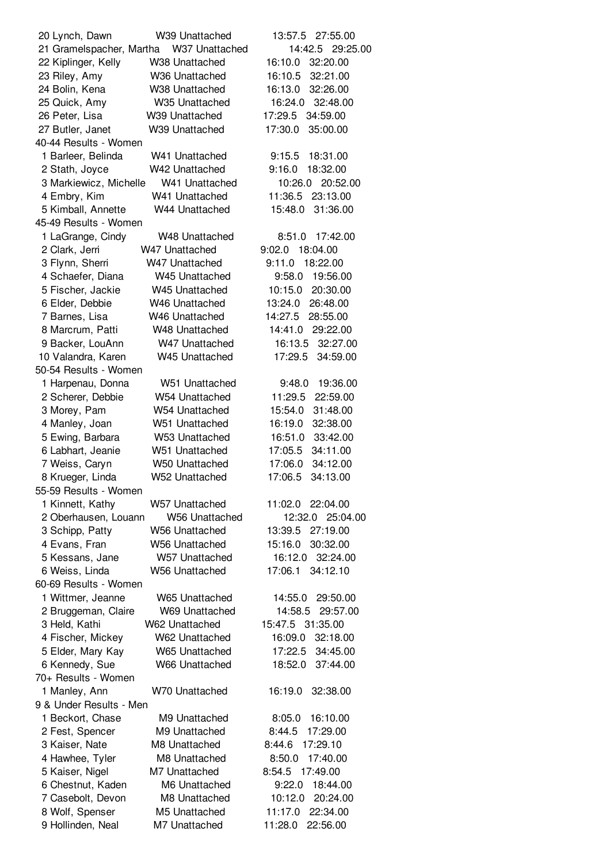| 20 Lynch, Dawn           | W39 Unattached             | 13:57.5 27:55.00    |
|--------------------------|----------------------------|---------------------|
| 21 Gramelspacher, Martha | W37 Unattached             | 14:42.5 29:25.00    |
| 22 Kiplinger, Kelly      | W38 Unattached             | 16:10.0<br>32:20.00 |
| 23 Riley, Amy            | W36 Unattached             | 16:10.5<br>32:21.00 |
| 24 Bolin, Kena           | W38 Unattached             | 16:13.0<br>32:26.00 |
| 25 Quick, Amy            | W35 Unattached             | 16:24.0<br>32:48.00 |
|                          |                            |                     |
| 26 Peter, Lisa           | W39 Unattached             | 17:29.5<br>34:59.00 |
| 27 Butler, Janet         | W39 Unattached             | 17:30.0<br>35:00.00 |
| 40-44 Results - Women    |                            |                     |
| 1 Barleer, Belinda       | W41 Unattached             | 9:15.5<br>18:31.00  |
| 2 Stath, Joyce           | W42 Unattached             | 9:16.0<br>18:32.00  |
| 3 Markiewicz, Michelle   | W41 Unattached             | 10:26.0<br>20:52.00 |
| 4 Embry, Kim             | W41 Unattached             | 11:36.5<br>23:13.00 |
| 5 Kimball, Annette       | W44 Unattached             | 15:48.0<br>31:36.00 |
| 45-49 Results - Women    |                            |                     |
| 1 LaGrange, Cindy        | W48 Unattached             | 8:51.0<br>17:42.00  |
| 2 Clark, Jerri           | W47 Unattached             | 9:02.0<br>18:04.00  |
| 3 Flynn, Sherri          | W47 Unattached             | 9:11.0<br>18:22.00  |
| 4 Schaefer, Diana        | W45 Unattached             | 9:58.0<br>19:56.00  |
|                          |                            |                     |
| 5 Fischer, Jackie        | W <sub>45</sub> Unattached | 10:15.0<br>20:30.00 |
| 6 Elder, Debbie          | W <sub>46</sub> Unattached | 13:24.0<br>26:48.00 |
| 7 Barnes, Lisa           | W <sub>46</sub> Unattached | 14:27.5<br>28:55.00 |
| 8 Marcrum, Patti         | W48 Unattached             | 14:41.0<br>29:22.00 |
| 9 Backer, LouAnn         | W47 Unattached             | 16:13.5<br>32:27.00 |
| 10 Valandra, Karen       | W45 Unattached             | 17:29.5<br>34:59.00 |
| 50-54 Results - Women    |                            |                     |
| 1 Harpenau, Donna        | W51 Unattached             | 9:48.0<br>19:36.00  |
| 2 Scherer, Debbie        | W54 Unattached             | 11:29.5<br>22:59.00 |
| 3 Morey, Pam             | W54 Unattached             | 15:54.0<br>31:48.00 |
| 4 Manley, Joan           | W51 Unattached             | 16:19.0<br>32:38.00 |
| 5 Ewing, Barbara         | W53 Unattached             | 16:51.0<br>33:42.00 |
| 6 Labhart, Jeanie        | W51 Unattached             | 34:11.00<br>17:05.5 |
|                          |                            | 17:06.0<br>34:12.00 |
| 7 Weiss, Caryn           | W50 Unattached             |                     |
| 8 Krueger, Linda         | W52 Unattached             | 17:06.5<br>34:13.00 |
| 55-59 Results - Women    |                            |                     |
| 1 Kinnett, Kathy         | W57 Unattached             | 11:02.0<br>22:04.00 |
| 2 Oberhausen, Louann     | <b>W56 Unattached</b>      | 12:32.0<br>25:04.00 |
| 3 Schipp, Patty          | <b>W56 Unattached</b>      | 27:19.00<br>13:39.5 |
| 4 Evans, Fran            | <b>W56 Unattached</b>      | 15:16.0<br>30:32.00 |
| 5 Kessans, Jane          | W57 Unattached             | 16:12.0<br>32:24.00 |
| 6 Weiss, Linda           | <b>W56 Unattached</b>      | 17:06.1<br>34:12.10 |
| 60-69 Results - Women    |                            |                     |
| 1 Wittmer, Jeanne        | W65 Unattached             | 29:50.00<br>14:55.0 |
| 2 Bruggeman, Claire      | W69 Unattached             | 14:58.5<br>29:57.00 |
| 3 Held, Kathi            | W62 Unattached             | 15:47.5 31:35.00    |
| 4 Fischer, Mickey        | W62 Unattached             | 16:09.0<br>32:18.00 |
| 5 Elder, Mary Kay        | W65 Unattached             | 17:22.5<br>34:45.00 |
|                          | W66 Unattached             | 18:52.0<br>37:44.00 |
| 6 Kennedy, Sue           |                            |                     |
| 70+ Results - Women      |                            |                     |
| 1 Manley, Ann            | <b>W70 Unattached</b>      | 16:19.0<br>32:38.00 |
| 9 & Under Results - Men  |                            |                     |
| 1 Beckort, Chase         | M9 Unattached              | 8:05.0<br>16:10.00  |
| 2 Fest, Spencer          | M9 Unattached              | 17:29.00<br>8:44.5  |
| 3 Kaiser, Nate           | M8 Unattached              | 8:44.6<br>17:29.10  |
| 4 Hawhee, Tyler          | M8 Unattached              | 17:40.00<br>8:50.0  |
| 5 Kaiser, Nigel          | M7 Unattached              | 8:54.5<br>17:49.00  |
| 6 Chestnut, Kaden        | M6 Unattached              | 9:22.0<br>18:44.00  |
| 7 Casebolt, Devon        | M8 Unattached              | 20:24.00<br>10:12.0 |
| 8 Wolf, Spenser          | M5 Unattached              | 11:17.0<br>22:34.00 |
| 9 Hollinden, Neal        | M7 Unattached              | 22:56.00<br>11:28.0 |
|                          |                            |                     |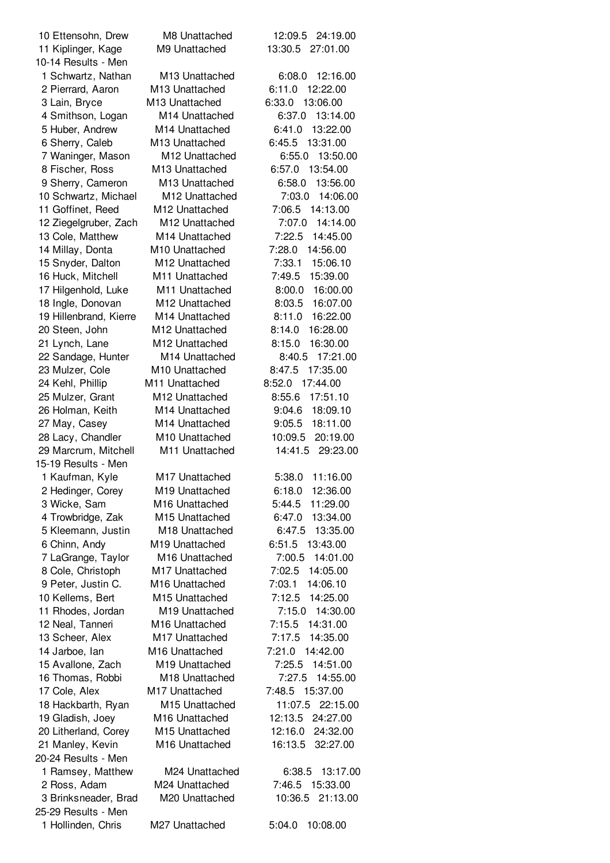| 10 Ettensohn, Drew                        | M8 Unattached              | 12:09.5 24:19.00    |
|-------------------------------------------|----------------------------|---------------------|
| 11 Kiplinger, Kage<br>10-14 Results - Men | M9 Unattached              | 13:30.5 27:01.00    |
| 1 Schwartz, Nathan                        | M <sub>13</sub> Unattached | 12:16.00<br>6:08.0  |
| 2 Pierrard, Aaron                         | M13 Unattached             | 6:11.0<br>12:22.00  |
| 3 Lain, Bryce                             | M13 Unattached             | 6:33.0<br>13:06.00  |
| 4 Smithson, Logan                         | M14 Unattached             | 6:37.0<br>13:14.00  |
| 5 Huber, Andrew                           | M <sub>14</sub> Unattached | 6:41.0<br>13:22.00  |
| 6 Sherry, Caleb                           | M <sub>13</sub> Unattached | 6:45.5<br>13:31.00  |
| 7 Waninger, Mason                         | M <sub>12</sub> Unattached | 6:55.0<br>13:50.00  |
| 8 Fischer, Ross                           | M13 Unattached             | 6:57.0<br>13:54.00  |
| 9 Sherry, Cameron                         | M13 Unattached             | 6:58.0<br>13:56.00  |
| 10 Schwartz, Michael                      | M12 Unattached             | 7:03.0<br>14:06.00  |
| 11 Goffinet, Reed                         | M12 Unattached             | 7:06.5<br>14:13.00  |
| 12 Ziegelgruber, Zach                     | M12 Unattached             | 7:07.0<br>14:14.00  |
| 13 Cole, Matthew                          | M14 Unattached             | 7:22.5<br>14:45.00  |
| 14 Millay, Donta                          | M10 Unattached             | 14:56.00<br>7:28.0  |
| 15 Snyder, Dalton                         | M12 Unattached             | 7:33.1<br>15:06.10  |
| 16 Huck, Mitchell                         | M11 Unattached             | 7:49.5<br>15:39.00  |
| 17 Hilgenhold, Luke                       | M <sub>11</sub> Unattached | 8:00.0<br>16:00.00  |
| 18 Ingle, Donovan                         | M12 Unattached             | 8:03.5<br>16:07.00  |
| 19 Hillenbrand, Kierre                    | M <sub>14</sub> Unattached | 8:11.0<br>16:22.00  |
| 20 Steen, John                            | M12 Unattached             | 8:14.0<br>16:28.00  |
| 21 Lynch, Lane                            | M12 Unattached             | 8:15.0<br>16:30.00  |
| 22 Sandage, Hunter                        | M14 Unattached             | 8:40.5<br>17:21.00  |
| 23 Mulzer, Cole                           | M10 Unattached             | 17:35.00<br>8:47.5  |
| 24 Kehl, Phillip                          | M11 Unattached             | 17:44.00<br>8:52.0  |
| 25 Mulzer, Grant                          | M12 Unattached             | 8:55.6<br>17:51.10  |
| 26 Holman, Keith                          | M14 Unattached             | 9:04.6<br>18:09.10  |
| 27 May, Casey                             | M14 Unattached             | 9:05.5<br>18:11.00  |
| 28 Lacy, Chandler                         | M10 Unattached             | 10:09.5<br>20:19.00 |
| 29 Marcrum, Mitchell                      | M11 Unattached             | 14:41.5<br>29:23.00 |
| 15-19 Results - Men                       |                            |                     |
| 1 Kaufman, Kyle                           | M <sub>17</sub> Unattached | 5:38.0<br>11:16.00  |
| 2 Hedinger, Corey                         | M19 Unattached             | 6:18.0<br>12:36.00  |
| 3 Wicke, Sam                              | M16 Unattached             | 5:44.5<br>11:29.00  |
| 4 Trowbridge, Zak                         | M15 Unattached             | 13:34.00<br>6:47.0  |
| 5 Kleemann, Justin                        | M18 Unattached             | 6:47.5<br>13:35.00  |
| 6 Chinn, Andy                             | M <sub>19</sub> Unattached | 6:51.5<br>13:43.00  |
| 7 LaGrange, Taylor                        | M16 Unattached             | 14:01.00<br>7:00.5  |
| 8 Cole, Christoph                         | M17 Unattached             | 7:02.5<br>14:05.00  |
| 9 Peter, Justin C.                        | M16 Unattached             | 7:03.1<br>14:06.10  |
| 10 Kellems, Bert                          | M15 Unattached             | 7:12.5<br>14:25.00  |
| 11 Rhodes, Jordan                         | M19 Unattached             | 7:15.0<br>14:30.00  |
| 12 Neal, Tanneri                          | M16 Unattached             | 7:15.5<br>14:31.00  |
| 13 Scheer, Alex                           | M17 Unattached             | 7:17.5<br>14:35.00  |
| 14 Jarboe, lan                            | M16 Unattached             | 7:21.0<br>14:42.00  |
| 15 Avallone, Zach                         | M19 Unattached             | 7:25.5<br>14:51.00  |
| 16 Thomas, Robbi                          | M18 Unattached             | 7:27.5<br>14:55.00  |
| 17 Cole, Alex                             | M17 Unattached             | 7:48.5<br>15:37.00  |
| 18 Hackbarth, Ryan                        | M15 Unattached             | 22:15.00<br>11:07.5 |
| 19 Gladish, Joey                          | M16 Unattached             | 12:13.5<br>24:27.00 |
| 20 Litherland, Corey                      | M15 Unattached             | 12:16.0<br>24:32.00 |
| 21 Manley, Kevin                          | M16 Unattached             | 16:13.5<br>32:27.00 |
| 20-24 Results - Men                       |                            |                     |
| 1 Ramsey, Matthew                         | M24 Unattached             | 13:17.00<br>6:38.5  |
| 2 Ross, Adam                              | M24 Unattached             | 7:46.5<br>15:33.00  |
| 3 Brinksneader, Brad                      | M20 Unattached             | 10:36.5<br>21:13.00 |
| 25-29 Results - Men                       |                            |                     |
| 1 Hollinden, Chris                        | M27 Unattached             | 5:04.0<br>10:08.00  |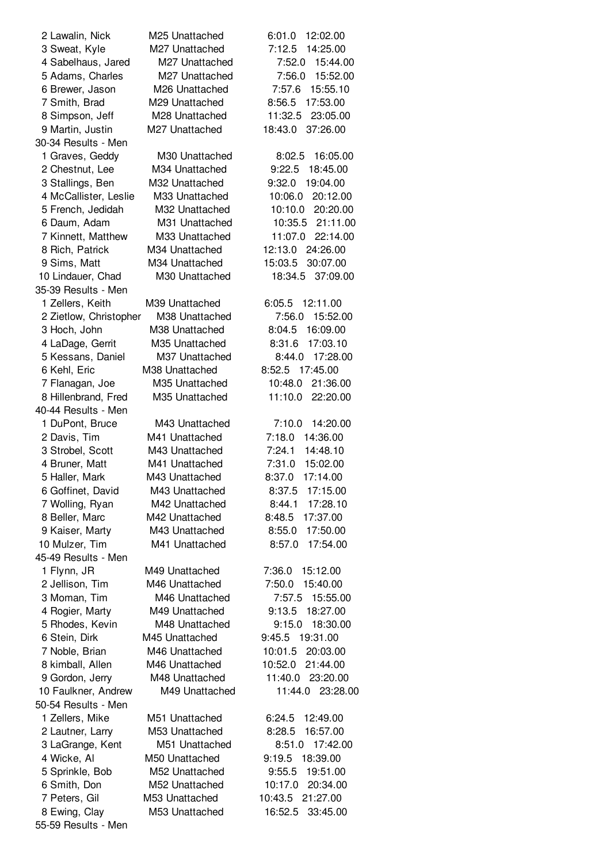| 2 Lawalin, Nick        | M25 Unattached | 12:02.00<br>6:01.0  |
|------------------------|----------------|---------------------|
| 3 Sweat, Kyle          | M27 Unattached | 7:12.5<br>14:25.00  |
| 4 Sabelhaus, Jared     | M27 Unattached | 15:44.00<br>7:52.0  |
| 5 Adams, Charles       | M27 Unattached | 7:56.0<br>15:52.00  |
| 6 Brewer, Jason        | M26 Unattached | 7:57.6<br>15:55.10  |
| 7 Smith, Brad          | M29 Unattached | 8:56.5<br>17:53.00  |
| 8 Simpson, Jeff        | M28 Unattached | 11:32.5<br>23:05.00 |
| 9 Martin, Justin       | M27 Unattached | 37:26.00<br>18:43.0 |
| 30-34 Results - Men    |                |                     |
| 1 Graves, Geddy        | M30 Unattached | 16:05.00<br>8:02.5  |
| 2 Chestnut, Lee        | M34 Unattached | 9:22.5<br>18:45.00  |
|                        | M32 Unattached | 19:04.00            |
| 3 Stallings, Ben       |                | 9:32.0              |
| 4 McCallister, Leslie  | M33 Unattached | 10:06.0<br>20:12.00 |
| 5 French, Jedidah      | M32 Unattached | 10:10.0<br>20:20.00 |
| 6 Daum, Adam           | M31 Unattached | 21:11.00<br>10:35.5 |
| 7 Kinnett, Matthew     | M33 Unattached | 11:07.0<br>22:14.00 |
| 8 Rich, Patrick        | M34 Unattached | 12:13.0<br>24:26.00 |
| 9 Sims, Matt           | M34 Unattached | 15:03.5<br>30:07.00 |
| 10 Lindauer, Chad      | M30 Unattached | 37:09.00<br>18:34.5 |
| 35-39 Results - Men    |                |                     |
| 1 Zellers, Keith       | M39 Unattached | 6:05.5<br>12:11.00  |
| 2 Zietlow, Christopher | M38 Unattached | 15:52.00<br>7:56.0  |
| 3 Hoch, John           | M38 Unattached | 8:04.5<br>16:09.00  |
| 4 LaDage, Gerrit       | M35 Unattached | 17:03.10<br>8:31.6  |
| 5 Kessans, Daniel      | M37 Unattached | 17:28.00<br>8:44.0  |
| 6 Kehl, Eric           | M38 Unattached | 8:52.5 17:45.00     |
| 7 Flanagan, Joe        | M35 Unattached | 21:36.00<br>10:48.0 |
| 8 Hillenbrand, Fred    | M35 Unattached | 11:10.0<br>22:20.00 |
| 40-44 Results - Men    |                |                     |
| 1 DuPont, Bruce        | M43 Unattached | 7:10.0<br>14:20.00  |
|                        |                | 7:18.0              |
| 2 Davis, Tim           | M41 Unattached | 14:36.00            |
| 3 Strobel, Scott       | M43 Unattached | 14:48.10<br>7:24.1  |
| 4 Bruner, Matt         | M41 Unattached | 7:31.0<br>15:02.00  |
| 5 Haller, Mark         | M43 Unattached | 8:37.0<br>17:14.00  |
| 6 Goffinet, David      | M43 Unattached | 17:15.00<br>8:37.5  |
| 7 Wolling, Ryan        | M42 Unattached | 8:44.1 17:28.10     |
| 8 Beller, Marc         | M42 Unattached | 8:48.5<br>17:37.00  |
| 9 Kaiser, Marty        | M43 Unattached | 17:50.00<br>8:55.0  |
| 10 Mulzer, Tim         | M41 Unattached | 17:54.00<br>8:57.0  |
| 45-49 Results - Men    |                |                     |
| 1 Flynn, JR            | M49 Unattached | 7:36.0<br>15:12.00  |
| 2 Jellison, Tim        | M46 Unattached | 7:50.0<br>15:40.00  |
| 3 Moman, Tim           | M46 Unattached | 7:57.5<br>15:55.00  |
| 4 Rogier, Marty        | M49 Unattached | 18:27.00<br>9:13.5  |
| 5 Rhodes, Kevin        | M48 Unattached | 9:15.0<br>18:30.00  |
| 6 Stein, Dirk          | M45 Unattached | 9:45.5 19:31.00     |
| 7 Noble, Brian         | M46 Unattached | 10:01.5<br>20:03.00 |
| 8 kimball, Allen       | M46 Unattached | 21:44.00<br>10:52.0 |
| 9 Gordon, Jerry        | M48 Unattached | 11:40.0<br>23:20.00 |
| 10 Faulkner, Andrew    | M49 Unattached | 11:44.0 23:28.00    |
| 50-54 Results - Men    |                |                     |
|                        |                |                     |
| 1 Zellers, Mike        | M51 Unattached | 6:24.5<br>12:49.00  |
| 2 Lautner, Larry       | M53 Unattached | 8:28.5<br>16:57.00  |
| 3 LaGrange, Kent       | M51 Unattached | 8:51.0<br>17:42.00  |
| 4 Wicke, Al            | M50 Unattached | 9:19.5<br>18:39.00  |
| 5 Sprinkle, Bob        | M52 Unattached | 19:51.00<br>9:55.5  |
| 6 Smith, Don           | M52 Unattached | 10:17.0<br>20:34.00 |
| 7 Peters, Gil          | M53 Unattached | 10:43.5 21:27.00    |
| 8 Ewing, Clay          | M53 Unattached | 16:52.5<br>33:45.00 |
| 55-59 Results - Men    |                |                     |